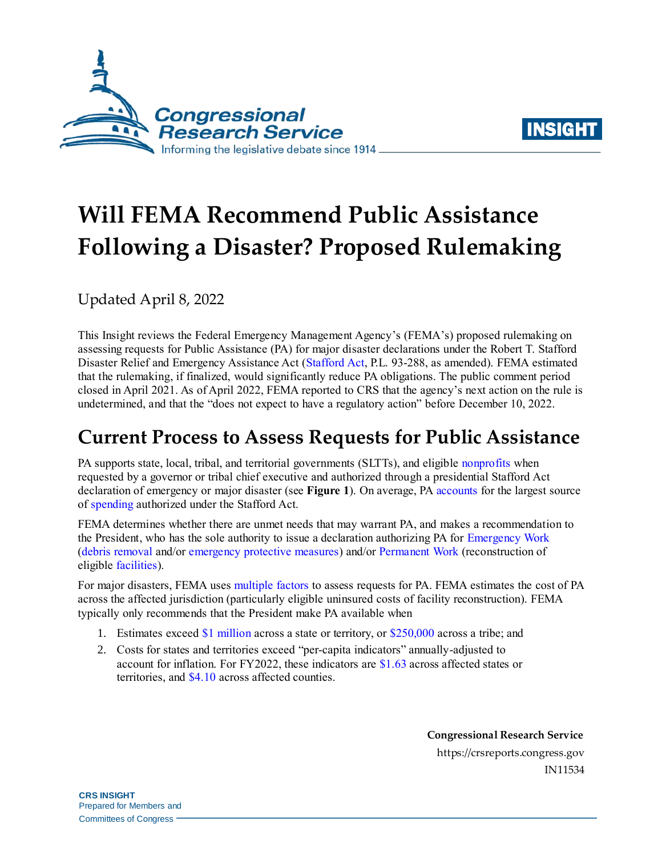



# **Will FEMA Recommend Public Assistance Following a Disaster? Proposed Rulemaking**

Updated April 8, 2022

This Insight reviews the Federal Emergency Management Agency's (FEMA's) proposed rulemaking on assessing requests for Public Assistance (PA) for major disaster declarations under the Robert T. Stafford Disaster Relief and Emergency Assistance Act [\(Stafford Act,](https://uscode.house.gov/view.xhtml;jsessionid=0979261E5B5362C48A7B6CB44FB06A7E?req=granuleid%3AUSC-prelim-title42-chapter68&saved=%7CKHRpdGxlOjQyIHNlY3Rpb246NTEyMiBlZGl0aW9uOnByZWxpbSkgT1IgKGdyYW51bGVpZDpVU0MtcHJlbGltLXRpdGxlNDItc2VjdGlvbjUxMjIp%7CdHJlZXNvcnQ%3D%7C%7C0%7Cfalse%7Cprelim&edition=prelim) [P.L. 93-288,](http://www.congress.gov/cgi-lis/bdquery/R?d093:FLD002:@1(93+288)) as amended). FEMA estimated that the rulemaking, if finalized, would significantly reduce PA obligations. The public comment period closed in April 2021. As of April 2022, FEMA reported to CRS that the agency's next action on the rule is undetermined, and that the "does not expect to have a regulatory action" before December 10, 2022.

## **Current Process to Assess Requests for Public Assistance**

PA supports state, local, tribal, and territorial governments (SLTTs), and eligible [nonprofits](https://www.fema.gov/sites/default/files/2020-07/fema_pappg_v4.pdf#page=44) when requested by a governor or tribal chief executive and authorized through a presidential Stafford Act declaration of emergency or major disaster (see **[Figure 1](#page-1-0)**). On average, P[A accounts](https://crsreports.congress.gov/product/pdf/R/R46749#page=28) for the largest source of [spending](https://www.fema.gov/about/reports-and-data/disaster-relief-fund-monthly-reports) authorized under the Stafford Act.

FEMA determines whether there are unmet needs that may warrant PA, and makes a recommendation to the President, who has the sole authority to issue a declaration authorizing PA for [Emergency Work](https://www.fema.gov/sites/default/files/2020-07/fema_pappg_v4.pdf#page=98) [\(debris removal](https://www.fema.gov/sites/default/files/2020-07/fema_pappg_v4.pdf#page=100) and/or [emergency protective measures\)](https://www.fema.gov/sites/default/files/2020-07/fema_pappg_v4.pdf#page=111) and/or [Permanent Work](https://www.fema.gov/sites/default/files/2020-07/fema_pappg_v4.pdf#page=141) (reconstruction of eligible [facilities\)](https://www.fema.gov/sites/default/files/2020-07/fema_pappg_v4.pdf#page=56).

For major disasters, FEMA uses [multiple factors](https://www.ecfr.gov/cgi-bin/text-idx?SID=541db5134fb3be03b27fb44a7ede5ac9&mc=true&node=se44.1.206_148&rgn=div8) to assess requests for PA. FEMA estimates the cost of PA across the affected jurisdiction (particularly eligible uninsured costs of facility reconstruction). FEMA typically only recommends that the President make PA available when

- 1. Estimates exceed [\\$1 million](https://www.ecfr.gov/cgi-bin/text-idx?SID=541db5134fb3be03b27fb44a7ede5ac9&mc=true&node=se44.1.206_148&rgn=div8) across a state or territory, or [\\$250,000](https://www.fema.gov/sites/default/files/2020-04/tribal-declaration-pilot-guidance.pdf#page=35) across a tribe; and
- 2. Costs for states and territories exceed "per-capita indicators" annually-adjusted to account for inflation. For FY2022, these indicators ar[e \\$1.63](https://www.fema.gov/assistance/public/applicants/per-capita-impact-indicator) across affected states or territories, and [\\$4.10](https://www.fema.gov/assistance/public/applicants/per-capita-impact-indicator) across affected counties.

**Congressional Research Service** https://crsreports.congress.gov IN11534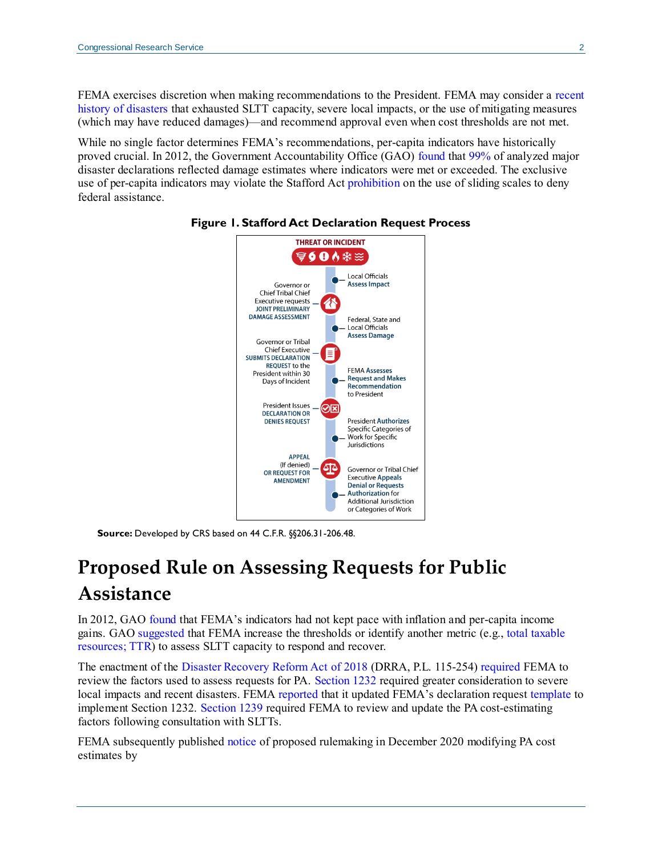FEMA exercises discretion when making recommendations to the President. FEMA may consider a [recent](https://www.ecfr.gov/cgi-bin/text-idx?SID=2193b5770fd59cc13da7df7bb714477c&mc=true&node=se44.1.206_148&rgn=div8)  [history of disasters](https://www.ecfr.gov/cgi-bin/text-idx?SID=2193b5770fd59cc13da7df7bb714477c&mc=true&node=se44.1.206_148&rgn=div8) that exhausted SLTT capacity, severe local impacts, or the use of mitigating measures (which may have reduced damages)—and recommend approval even when cost thresholds are not met.

<span id="page-1-0"></span>While no single factor determines FEMA's recommendations, per-capita indicators have historically proved crucial. In 2012, the Government Accountability Office (GAO) [found](https://www.gao.gov/assets/650/648162.pdf) that [99%](https://www.gao.gov/assets/650/648162.pdf#page=30) of analyzed major disaster declarations reflected damage estimates where indicators were met or exceeded. The exclusive use of per-capita indicators may violate the Stafford Ac[t prohibition](https://uscode.house.gov/view.xhtml?req=(title:42%20section:5163%20edition:prelim)%20OR%20(granuleid:USC-prelim-title42-section5163)&f=treesort&edition=prelim&num=0&jumpTo=true) on the use of sliding scales to deny federal assistance.





**Source:** Developed by CRS based on 44 C.F.R. §§206.31-206.48.

# **Proposed Rule on Assessing Requests for Public Assistance**

In 2012, GAO [found](https://www.gao.gov/assets/gao-12-838.pdf#page=30) that FEMA's indicators had not kept pace with inflation and per-capita income gains. GAO [suggested](https://www.gao.gov/assets/650/648162.pdf#page=56) that FEMA increase the thresholds or identify another metric (e.g., [total taxable](https://www.gao.gov/assets/650/648162.pdf#page=37)  [resources;](https://www.gao.gov/assets/650/648162.pdf#page=37) TTR) to assess SLTT capacity to respond and recover.

The enactment of the [Disaster Recovery Reform Act](https://www.congress.gov/bill/115th-congress/house-bill/302?q=%7B%22search%22%3A%5B%22disaster+recovery+reform+act%22%5D%7D&s=4&r=1) of 2018 (DRRA, [P.L. 115-254\)](http://www.congress.gov/cgi-lis/bdquery/R?d115:FLD002:@1(115+254)) [required](https://crsreports.congress.gov/product/pdf/R/R45819#page=41) FEMA to review the factors used to assess requests for PA. [Section 1232](https://www.congress.gov/115/plaws/publ254/PLAW-115publ254.pdf#page=276) required greater consideration to severe local impacts and recent disasters. FEMA [reported](https://www.fema.gov/sites/default/files/2020-07/fema_DRRA-annual-report_2019.pdf#page=12) that it updated FEMA's declaration request [template](https://www.fema.gov/disasters/request-for-presidential-disaster-declaration) to implement Section 1232. [Section 1239](https://www.congress.gov/115/plaws/publ254/PLAW-115publ254.pdf#page=282) required FEMA to review and update the PA cost-estimating factors following consultation with SLTTs.

FEMA subsequently published [notice](https://www.federalregister.gov/documents/2020/12/14/2020-27094/cost-of-assistance-estimates-in-the-disaster-declaration-process-for-the-public-assistance-program) of proposed rulemaking in December 2020 modifying PA cost estimates by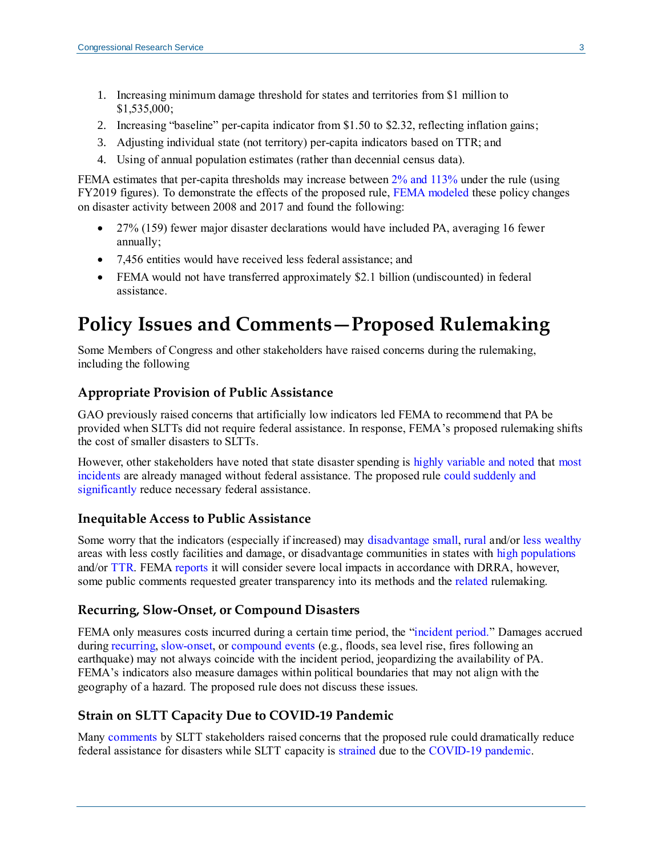- 1. Increasing minimum damage threshold for states and territories from \$1 million to \$1,535,000;
- 2. Increasing "baseline" per-capita indicator from \$1.50 to \$2.32, reflecting inflation gains;
- 3. Adjusting individual state (not territory) per-capita indicators based on TTR; and
- 4. Using of annual population estimates (rather than decennial census data).

FEMA estimates that per-capita thresholds may increase between [2% and 113%](https://www.govinfo.gov/content/pkg/FR-2020-12-14/pdf/2020-27094.pdf#page=27) under the rule (using FY2019 figures). To demonstrate the effects of the proposed rule, [FEMA modeled](https://www.govinfo.gov/content/pkg/FR-2020-12-14/pdf/2020-27094.pdf#page=14) these policy changes on disaster activity between 2008 and 2017 and found the following:

- 27% (159) fewer major disaster declarations would have included PA, averaging 16 fewer annually;
- 7,456 entities would have received less federal assistance; and
- FEMA would not have transferred approximately \$2.1 billion (undiscounted) in federal assistance.

## **Policy Issues and Comments—Proposed Rulemaking**

Some Members of Congress and other stakeholders have raised concerns during the rulemaking, including the following

#### **Appropriate Provision of Public Assistance**

GAO previously [raised](https://www.gao.gov/assets/650/648162.pdf#page=30) concerns that artificially low indicators led FEMA to recommend that PA be provided when SLTTs did not require federal assistance. In response, FEMA's proposed rulemaking shifts the cost of smaller disasters to SLTTs.

However, other stakeholders have noted that state disaster spending is [highly variable](https://www.pewtrusts.org/-/media/assets/2018/06/statespendingnaturaldisasters_v4.pdf#page=14) and noted that [most](https://www.naco.org/sites/default/files/attachments/JPS/NACo%20Disaster%20Deductible%20ANPRM%20Comments.pdf#page=4)  [incidents](https://www.naco.org/sites/default/files/attachments/JPS/NACo%20Disaster%20Deductible%20ANPRM%20Comments.pdf#page=4) are already managed without federal assistance. The proposed rule [could suddenly and](https://www.regulations.gov/comment/FEMA-2020-0038-0107)  [significantly](https://www.regulations.gov/comment/FEMA-2020-0038-0107) reduce necessary federal assistance.

#### **Inequitable Access to Public Assistance**

Some worry that the indicators (especially if increased) may [disadvantage](https://www.regulations.gov/comment/FEMA-2020-0038-0024) [small,](https://www.hsgac.senate.gov/subcommittees/emdc/hearings/the-path-to-efficiency-making-fema-more-effective-for-streamlined-disaster-operations) [rural](https://rodneydavis.house.gov/news/documentsingle.aspx?DocumentID=398970) and/or [less wealthy](https://www.naco.org/sites/default/files/attachments/JPS/Sallie%20Clark%20House%20T%26I%20Testimony%205.12.16.pdf#page=6) areas with less costly facilities and damage, or disadvantage communities in states with [high populations](https://www.regulations.gov/comment/FEMA-2020-0038-0103) and/or [TTR.](https://www.regulations.gov/comment/FEMA-2020-0038-0008) FEMA [reports](https://www.congress.gov/event/116th-congress/house-event/LC65451/text?q=%7B%22search%22%3A%5B%22%5C%22forest+service%5C%22%22%5D%7D&s=1&r=23) it will consider severe local impacts in accordance with DRRA, however, some public comments requested greater transparency into its methods and the [related](https://www.regulations.gov/comment/FEMA-2020-0038-0024) rulemaking.

#### **Recurring, Slow-Onset, or Compound Disasters**

FEMA only measures costs incurred during a certain time period, the ["incident period.](https://www.ecfr.gov/cgi-bin/text-idx?SID=8a1b59628a40365fb0ffbe7af2ed2831&mc=true&node=se44.1.206_132&rgn=div8)" Damages accrued during [recurring,](https://graves.house.gov/media-center/press-releases/missouri-lawmakers-hawley-blunt-and-graves-send-letter-fema-behalf) [slow-onset,](https://www.undrr.org/publication/overcoming-barriers-proactive-response-slow-onset-disasters) or [compound events](https://science2017.globalchange.gov/report_section/executive-summary/es7/) (e.g., floods, sea level rise, fires following an earthquake) may not always coincide with the incident period, jeopardizing the availability of PA. FEMA's indicators also measure damages within political boundaries that may not align with the geography of a hazard. The proposed rule does not discuss these issues.

#### **Strain on SLTT Capacity Due to COVID-19 Pandemic**

Many [comments](https://www.regulations.gov/comment/FEMA-2020-0038-0074) by SLTT stakeholders raised concerns that the proposed rule could dramatically reduce federal assistance for disasters while SLTT capacity i[s strained](https://www.regulations.gov/comment/FEMA-2020-0038-0103) due to the [COVID-19 pandemic.](https://www.regulations.gov/comment/FEMA-2020-0038-0024)